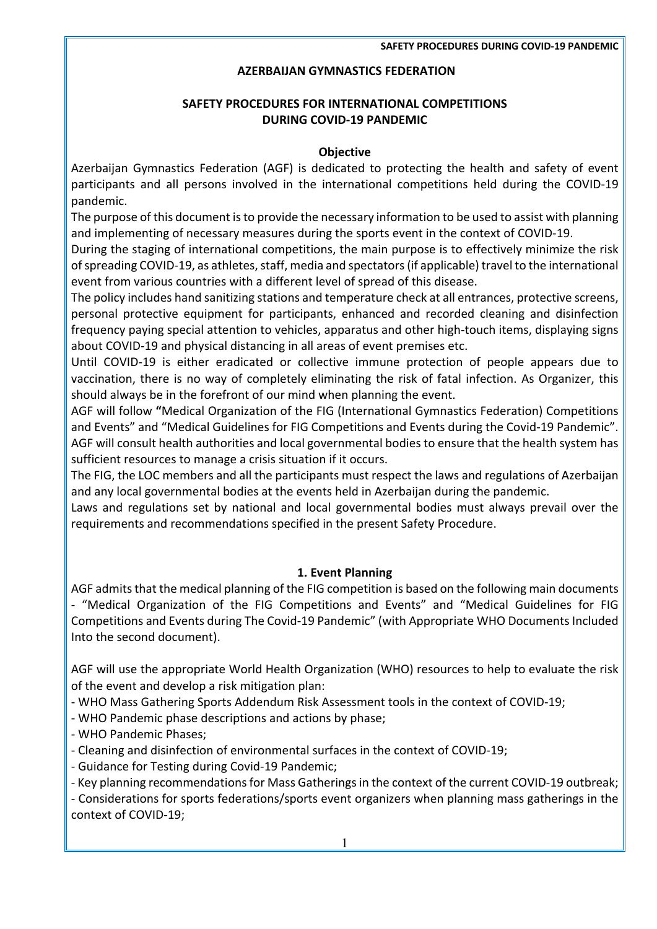#### **AZERBAIJAN GYMNASTICS FEDERATION**

## **SAFETY PROCEDURES FOR INTERNATIONAL COMPETITIONS DURING COVID-19 PANDEMIC**

#### **Objective**

Azerbaijan Gymnastics Federation (AGF) is dedicated to protecting the health and safety of event participants and all persons involved in the international competitions held during the COVID-19 pandemic.

The purpose of this document is to provide the necessary information to be used to assist with planning and implementing of necessary measures during the sports event in the context of COVID-19.

During the staging of international competitions, the main purpose is to effectively minimize the risk of spreading COVID-19, as athletes, staff, media and spectators (if applicable) travel to the international event from various countries with a different level of spread of this disease.

The policy includes hand sanitizing stations and temperature check at all entrances, protective screens, personal protective equipment for participants, enhanced and recorded cleaning and disinfection frequency paying special attention to vehicles, apparatus and other high-touch items, displaying signs about COVID-19 and physical distancing in all areas of event premises etc.

Until COVID-19 is either eradicated or collective immune protection of people appears due to vaccination, there is no way of completely eliminating the risk of fatal infection. As Organizer, this should always be in the forefront of our mind when planning the event.

AGF will follow **"**Medical Organization of the FIG (International Gymnastics Federation) Competitions and Events" and "Medical Guidelines for FIG Competitions and Events during the Covid-19 Pandemic". AGF will consult health authorities and local governmental bodies to ensure that the health system has sufficient resources to manage a crisis situation if it occurs.

The FIG, the LOC members and all the participants must respect the laws and regulations of Azerbaijan and any local governmental bodies at the events held in Azerbaijan during the pandemic.

Laws and regulations set by national and local governmental bodies must always prevail over the requirements and recommendations specified in the present Safety Procedure.

## **1. Event Planning**

AGF admits that the medical planning of the FIG competition is based on the following main documents - "Medical Organization of the FIG Competitions and Events" and "Medical Guidelines for FIG Competitions and Events during The Covid-19 Pandemic" (with Appropriate WHO Documents Included Into the second document).

AGF will use the appropriate World Health Organization (WHO) resources to help to evaluate the risk of the event and develop a risk mitigation plan:

- WHO Mass Gathering Sports Addendum Risk Assessment tools in the context of COVID-19;

- WHO Pandemic phase descriptions and actions by phase;

- WHO Pandemic Phases;

- Cleaning and disinfection of environmental surfaces in the context of COVID-19;

- Guidance for Testing during Covid-19 Pandemic;

- Key planning recommendations for Mass Gatherings in the context of the current COVID-19 outbreak;

- Considerations for sports federations/sports event organizers when planning mass gatherings in the context of COVID-19;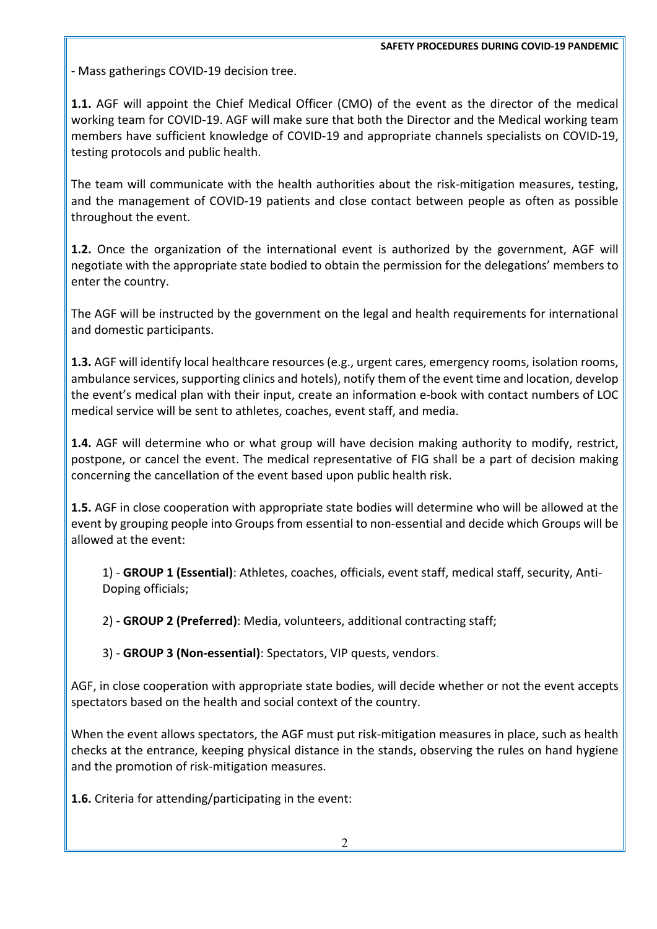- Mass gatherings COVID-19 decision tree.

**1.1.** AGF will appoint the Chief Medical Officer (CMO) of the event as the director of the medical working team for COVID-19. AGF will make sure that both the Director and the Medical working team members have sufficient knowledge of COVID-19 and appropriate channels specialists on COVID-19, testing protocols and public health.

The team will communicate with the health authorities about the risk-mitigation measures, testing, and the management of COVID-19 patients and close contact between people as often as possible throughout the event.

**1.2.** Once the organization of the international event is authorized by the government, AGF will negotiate with the appropriate state bodied to obtain the permission for the delegations' members to enter the country.

The AGF will be instructed by the government on the legal and health requirements for international and domestic participants.

**1.3.** AGF will identify local healthcare resources (e.g., urgent cares, emergency rooms, isolation rooms, ambulance services, supporting clinics and hotels), notify them of the event time and location, develop the event's medical plan with their input, create an information e-book with contact numbers of LOC medical service will be sent to athletes, coaches, event staff, and media.

**1.4.** AGF will determine who or what group will have decision making authority to modify, restrict, postpone, or cancel the event. The medical representative of FIG shall be a part of decision making concerning the cancellation of the event based upon public health risk.

**1.5.** AGF in close cooperation with appropriate state bodies will determine who will be allowed at the event by grouping people into Groups from essential to non-essential and decide which Groups will be allowed at the event:

1) - **GROUP 1 (Essential)**: Athletes, coaches, officials, event staff, medical staff, security, Anti-Doping officials;

2) - **GROUP 2 (Preferred)**: Media, volunteers, additional contracting staff;

3) - **GROUP 3 (Non-essential)**: Spectators, VIP quests, vendors.

AGF, in close cooperation with appropriate state bodies, will decide whether or not the event accepts spectators based on the health and social context of the country.

When the event allows spectators, the AGF must put risk-mitigation measures in place, such as health checks at the entrance, keeping physical distance in the stands, observing the rules on hand hygiene and the promotion of risk-mitigation measures.

**1.6.** Criteria for attending/participating in the event: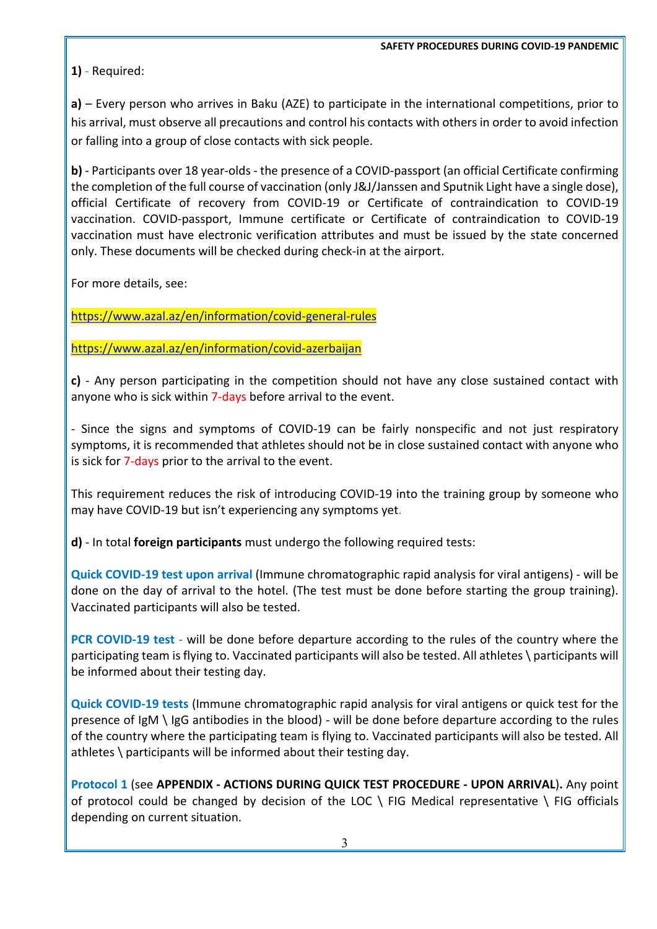## **1)** - Required:

**a)** – Every person who arrives in Baku (AZE) to participate in the international competitions, prior to his arrival, must observe all precautions and control his contacts with others in order to avoid infection or falling into a group of close contacts with sick people.

**b)** - Participants over 18 year-olds - the presence of a COVID-passport (an official Certificate confirming the completion of the full course of vaccination (only J&J/Janssen and Sputnik Light have a single dose), official Certificate of recovery from COVID-19 or Certificate of contraindication to COVID-19 vaccination. COVID-passport, Immune certificate or Certificate of contraindication to COVID-19 vaccination must have electronic verification attributes and must be issued by the state concerned only. These documents will be checked during check-in at the airport.

For more details, see:

https://www.azal.az/en/information/covid-general-rules

https://www.azal.az/en/information/covid-azerbaijan

**c)** - Any person participating in the competition should not have any close sustained contact with anyone who is sick within 7-days before arrival to the event.

- Since the signs and symptoms of COVID-19 can be fairly nonspecific and not just respiratory symptoms, it is recommended that athletes should not be in close sustained contact with anyone who is sick for 7-days prior to the arrival to the event.

This requirement reduces the risk of introducing COVID-19 into the training group by someone who may have COVID-19 but isn't experiencing any symptoms yet.

**d)** - In total **foreign participants** must undergo the following required tests:

**Quick COVID-19 test upon arrival** (Immune chromatographic rapid analysis for viral antigens) - will be done on the day of arrival to the hotel. (The test must be done before starting the group training). Vaccinated participants will also be tested.

**PCR COVID-19 test** - will be done before departure according to the rules of the country where the participating team is flying to. Vaccinated participants will also be tested. All athletes \ participants will be informed about their testing day.

**Quick COVID-19 tests** (Immune chromatographic rapid analysis for viral antigens or quick test for the presence of IgM \ IgG antibodies in the blood) - will be done before departure according to the rules of the country where the participating team is flying to. Vaccinated participants will also be tested. All athletes \ participants will be informed about their testing day.

**Protocol 1** (see **APPENDIX - ACTIONS DURING QUICK TEST PROCEDURE - UPON ARRIVAL**)**.** Any point of protocol could be changed by decision of the LOC  $\setminus$  FIG Medical representative  $\setminus$  FIG officials depending on current situation.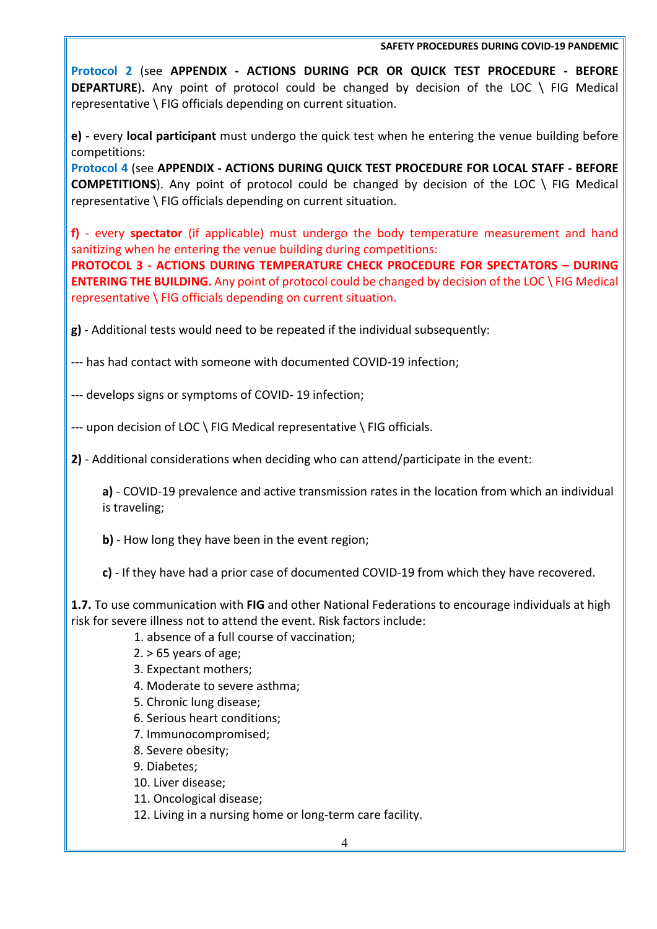**Protocol 2** (see **APPENDIX - ACTIONS DURING PCR OR QUICK TEST PROCEDURE - BEFORE DEPARTURE**)**.** Any point of protocol could be changed by decision of the LOC \ FIG Medical representative \ FIG officials depending on current situation.

**e)** - every **local participant** must undergo the quick test when he entering the venue building before competitions:

**Protocol 4** (see **APPENDIX - ACTIONS DURING QUICK TEST PROCEDURE FOR LOCAL STAFF - BEFORE COMPETITIONS**). Any point of protocol could be changed by decision of the LOC \ FIG Medical representative \ FIG officials depending on current situation.

**f)** - every **spectator** (if applicable) must undergo the body temperature measurement and hand sanitizing when he entering the venue building during competitions:

**PROTOCOL 3 - ACTIONS DURING TEMPERATURE CHECK PROCEDURE FOR SPECTATORS – DURING ENTERING THE BUILDING.** Any point of protocol could be changed by decision of the LOC \ FIG Medical representative \ FIG officials depending on current situation.

**g)** - Additional tests would need to be repeated if the individual subsequently:

--- has had contact with someone with documented COVID-19 infection;

--- develops signs or symptoms of COVID- 19 infection;

--- upon decision of LOC \ FIG Medical representative \ FIG officials.

**2)** - Additional considerations when deciding who can attend/participate in the event:

**a)** - COVID-19 prevalence and active transmission rates in the location from which an individual is traveling;

**b)** - How long they have been in the event region;

**c)** - If they have had a prior case of documented COVID-19 from which they have recovered.

**1.7.** To use communication with **FIG** and other National Federations to encourage individuals at high risk for severe illness not to attend the event. Risk factors include:

- 1. absence of a full course of vaccination;
- $2. > 65$  years of age;
- 3. Expectant mothers;
- 4. Moderate to severe asthma;
- 5. Chronic lung disease;
- 6. Serious heart conditions;
- 7. Immunocompromised;
- 8. Severe obesity;
- 9. Diabetes;
- 10. Liver disease;
- 11. Oncological disease;
- 12. Living in a nursing home or long-term care facility.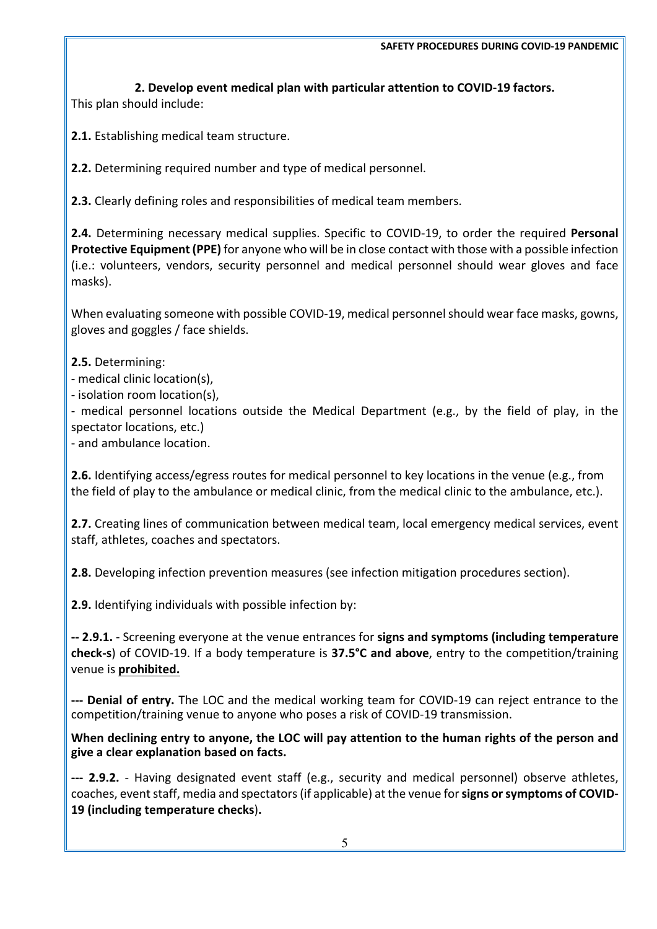**2. Develop event medical plan with particular attention to COVID-19 factors.** 

This plan should include:

**2.1.** Establishing medical team structure.

**2.2.** Determining required number and type of medical personnel.

**2.3.** Clearly defining roles and responsibilities of medical team members.

**2.4.** Determining necessary medical supplies. Specific to COVID-19, to order the required **Personal Protective Equipment (PPE)** for anyone who will be in close contact with those with a possible infection (i.e.: volunteers, vendors, security personnel and medical personnel should wear gloves and face masks).

When evaluating someone with possible COVID-19, medical personnel should wear face masks, gowns, gloves and goggles / face shields.

**2.5.** Determining:

- medical clinic location(s),

- isolation room location(s),

- medical personnel locations outside the Medical Department (e.g., by the field of play, in the spectator locations, etc.)

- and ambulance location.

**2.6.** Identifying access/egress routes for medical personnel to key locations in the venue (e.g., from the field of play to the ambulance or medical clinic, from the medical clinic to the ambulance, etc.).

**2.7.** Creating lines of communication between medical team, local emergency medical services, event staff, athletes, coaches and spectators.

**2.8.** Developing infection prevention measures (see infection mitigation procedures section).

**2.9.** Identifying individuals with possible infection by:

**-- 2.9.1.** - Screening everyone at the venue entrances for **signs and symptoms (including temperature check-s**) of COVID-19. If a body temperature is **37.5°C and above**, entry to the competition/training venue is **prohibited.**

**--- Denial of entry.** The LOC and the medical working team for COVID-19 can reject entrance to the competition/training venue to anyone who poses a risk of COVID-19 transmission.

**When declining entry to anyone, the LOC will pay attention to the human rights of the person and give a clear explanation based on facts.**

**--- 2.9.2.** - Having designated event staff (e.g., security and medical personnel) observe athletes, coaches, event staff, media and spectators (if applicable) at the venue for **signs or symptoms of COVID-19 (including temperature checks**)**.**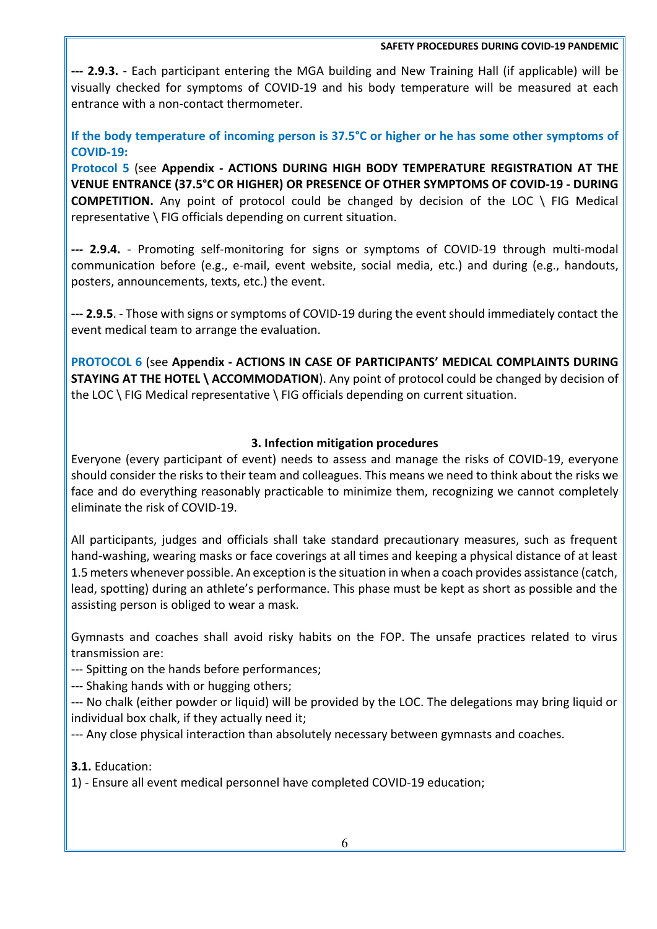**--- 2.9.3.** - Each participant entering the MGA building and New Training Hall (if applicable) will be visually checked for symptoms of COVID-19 and his body temperature will be measured at each entrance with a non-contact thermometer.

**If the body temperature of incoming person is 37.5°C or higher or he has some other symptoms of COVID-19:**

**Protocol 5** (see **Appendix - ACTIONS DURING HIGH BODY TEMPERATURE REGISTRATION AT THE VENUE ENTRANCE (37.5°C OR HIGHER) OR PRESENCE OF OTHER SYMPTOMS OF COVID-19 - DURING COMPETITION.** Any point of protocol could be changed by decision of the LOC \ FIG Medical representative \ FIG officials depending on current situation.

**--- 2.9.4.** - Promoting self-monitoring for signs or symptoms of COVID-19 through multi-modal communication before (e.g., e-mail, event website, social media, etc.) and during (e.g., handouts, posters, announcements, texts, etc.) the event.

**--- 2.9.5**. - Those with signs or symptoms of COVID-19 during the event should immediately contact the event medical team to arrange the evaluation.

**PROTOCOL 6** (see **Appendix - ACTIONS IN CASE OF PARTICIPANTS' MEDICAL COMPLAINTS DURING STAYING AT THE HOTEL \ ACCOMMODATION**). Any point of protocol could be changed by decision of the LOC \ FIG Medical representative \ FIG officials depending on current situation.

## **3. Infection mitigation procedures**

Everyone (every participant of event) needs to assess and manage the risks of COVID-19, everyone should consider the risks to their team and colleagues. This means we need to think about the risks we face and do everything reasonably practicable to minimize them, recognizing we cannot completely eliminate the risk of COVID-19.

All participants, judges and officials shall take standard precautionary measures, such as frequent hand-washing, wearing masks or face coverings at all times and keeping a physical distance of at least 1.5 meters whenever possible. An exception is the situation in when a coach provides assistance (catch, lead, spotting) during an athlete's performance. This phase must be kept as short as possible and the assisting person is obliged to wear a mask.

Gymnasts and coaches shall avoid risky habits on the FOP. The unsafe practices related to virus transmission are:

--- Spitting on the hands before performances;

--- Shaking hands with or hugging others;

--- No chalk (either powder or liquid) will be provided by the LOC. The delegations may bring liquid or individual box chalk, if they actually need it;

--- Any close physical interaction than absolutely necessary between gymnasts and coaches.

**3.1.** Education:

1) - Ensure all event medical personnel have completed COVID-19 education;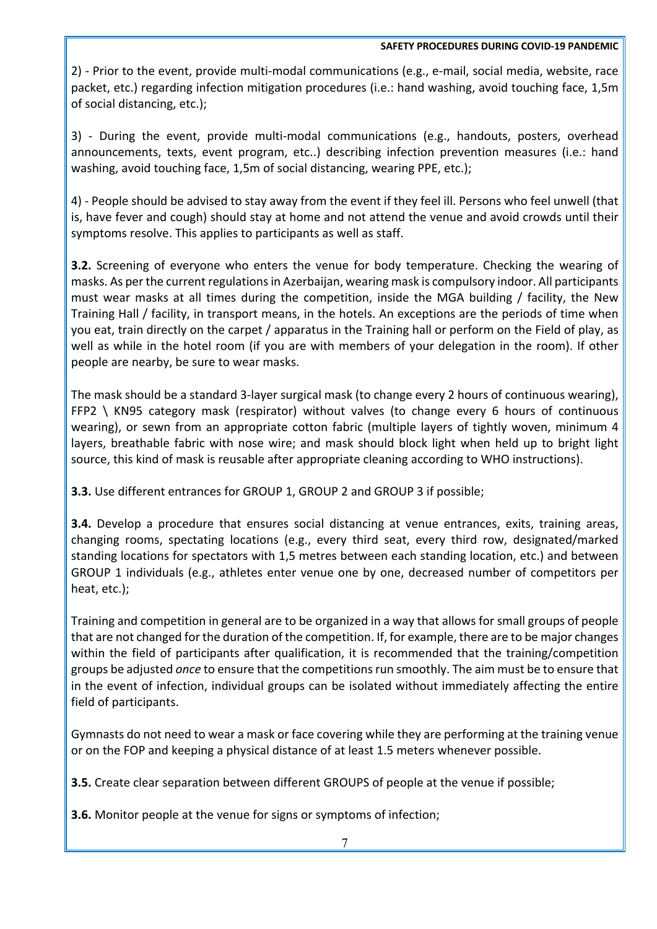2) - Prior to the event, provide multi-modal communications (e.g., e-mail, social media, website, race packet, etc.) regarding infection mitigation procedures (i.e.: hand washing, avoid touching face, 1,5m of social distancing, etc.);

3) - During the event, provide multi-modal communications (e.g., handouts, posters, overhead announcements, texts, event program, etc..) describing infection prevention measures (i.e.: hand washing, avoid touching face, 1,5m of social distancing, wearing PPE, etc.);

4) - People should be advised to stay away from the event if they feel ill. Persons who feel unwell (that is, have fever and cough) should stay at home and not attend the venue and avoid crowds until their symptoms resolve. This applies to participants as well as staff.

**3.2.** Screening of everyone who enters the venue for body temperature. Checking the wearing of masks. As per the current regulations in Azerbaijan, wearing mask is compulsory indoor. All participants must wear masks at all times during the competition, inside the MGA building / facility, the New Training Hall / facility, in transport means, in the hotels. An exceptions are the periods of time when you eat, train directly on the carpet / apparatus in the Training hall or perform on the Field of play, as well as while in the hotel room (if you are with members of your delegation in the room). If other people are nearby, be sure to wear masks.

The mask should be a standard 3-layer surgical mask (to change every 2 hours of continuous wearing), FFP2 \ KN95 category mask (respirator) without valves (to change every 6 hours of continuous wearing), or sewn from an appropriate cotton fabric (multiple layers of tightly woven, minimum 4 layers, breathable fabric with nose wire; and mask should block light when held up to bright light source, this kind of mask is reusable after appropriate cleaning according to WHO instructions).

**3.3.** Use different entrances for GROUP 1, GROUP 2 and GROUP 3 if possible;

**3.4.** Develop a procedure that ensures social distancing at venue entrances, exits, training areas, changing rooms, spectating locations (e.g., every third seat, every third row, designated/marked standing locations for spectators with 1,5 metres between each standing location, etc.) and between GROUP 1 individuals (e.g., athletes enter venue one by one, decreased number of competitors per heat, etc.);

Training and competition in general are to be organized in a way that allows for small groups of people that are not changed for the duration of the competition. If, for example, there are to be major changes within the field of participants after qualification, it is recommended that the training/competition groups be adjusted *once* to ensure that the competitions run smoothly. The aim must be to ensure that in the event of infection, individual groups can be isolated without immediately affecting the entire field of participants.

Gymnasts do not need to wear a mask or face covering while they are performing at the training venue or on the FOP and keeping a physical distance of at least 1.5 meters whenever possible.

**3.5.** Create clear separation between different GROUPS of people at the venue if possible;

**3.6.** Monitor people at the venue for signs or symptoms of infection;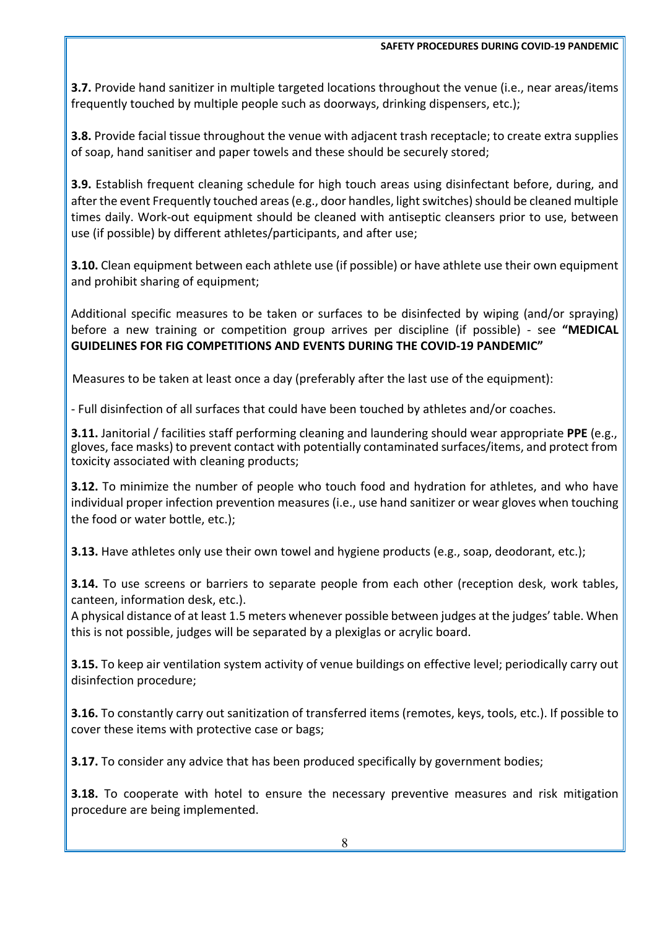**3.7.** Provide hand sanitizer in multiple targeted locations throughout the venue (i.e., near areas/items frequently touched by multiple people such as doorways, drinking dispensers, etc.);

**3.8.** Provide facial tissue throughout the venue with adjacent trash receptacle; to create extra supplies of soap, hand sanitiser and paper towels and these should be securely stored;

**3.9.** Establish frequent cleaning schedule for high touch areas using disinfectant before, during, and after the event Frequently touched areas (e.g., door handles, light switches) should be cleaned multiple times daily. Work-out equipment should be cleaned with antiseptic cleansers prior to use, between use (if possible) by different athletes/participants, and after use;

**3.10.** Clean equipment between each athlete use (if possible) or have athlete use their own equipment and prohibit sharing of equipment;

Additional specific measures to be taken or surfaces to be disinfected by wiping (and/or spraying) before a new training or competition group arrives per discipline (if possible) - see **"MEDICAL GUIDELINES FOR FIG COMPETITIONS AND EVENTS DURING THE COVID-19 PANDEMIC"**

Measures to be taken at least once a day (preferably after the last use of the equipment):

- Full disinfection of all surfaces that could have been touched by athletes and/or coaches.

**3.11.** Janitorial / facilities staff performing cleaning and laundering should wear appropriate **PPE** (e.g., gloves, face masks) to prevent contact with potentially contaminated surfaces/items, and protect from toxicity associated with cleaning products;

**3.12.** To minimize the number of people who touch food and hydration for athletes, and who have individual proper infection prevention measures (i.e., use hand sanitizer or wear gloves when touching the food or water bottle, etc.);

**3.13.** Have athletes only use their own towel and hygiene products (e.g., soap, deodorant, etc.);

**3.14.** To use screens or barriers to separate people from each other (reception desk, work tables, canteen, information desk, etc.).

A physical distance of at least 1.5 meters whenever possible between judges at the judges' table. When this is not possible, judges will be separated by a plexiglas or acrylic board.

**3.15.** To keep air ventilation system activity of venue buildings on effective level; periodically carry out disinfection procedure;

**3.16.** To constantly carry out sanitization of transferred items (remotes, keys, tools, etc.). If possible to cover these items with protective case or bags;

**3.17.** To consider any advice that has been produced specifically by government bodies;

**3.18.** To cooperate with hotel to ensure the necessary preventive measures and risk mitigation procedure are being implemented.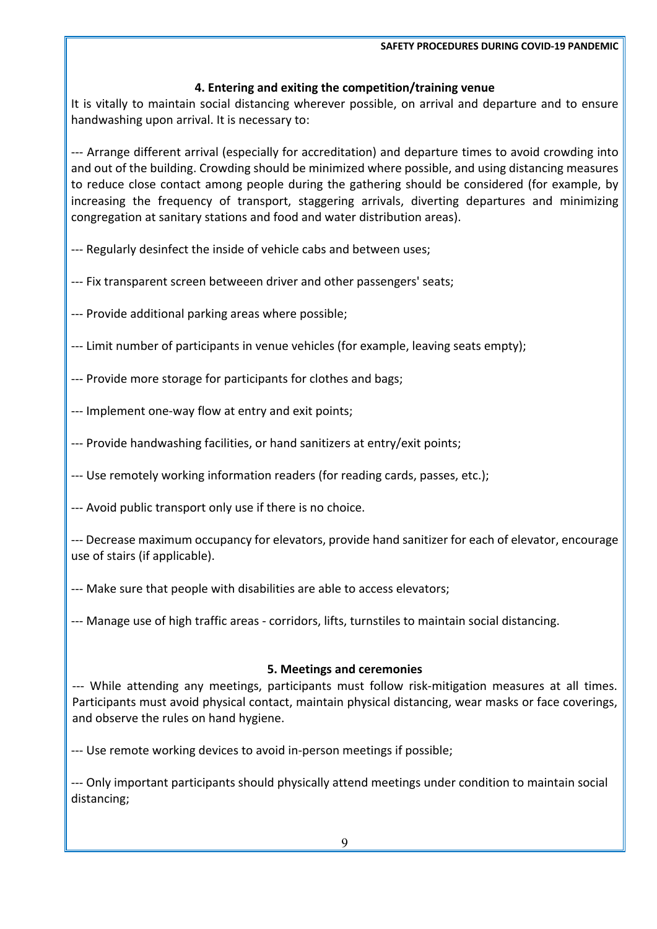# **4. Entering and exiting the competition/training venue**

It is vitally to maintain social distancing wherever possible, on arrival and departure and to ensure handwashing upon arrival. It is necessary to:

--- Arrange different arrival (especially for accreditation) and departure times to avoid crowding into and out of the building. Crowding should be minimized where possible, and using distancing measures to reduce close contact among people during the gathering should be considered (for example, by increasing the frequency of transport, staggering arrivals, diverting departures and minimizing congregation at sanitary stations and food and water distribution areas).

- --- Regularly desinfect the inside of vehicle cabs and between uses;
- --- Fix transparent screen betweeen driver and other passengers' seats;
- --- Provide additional parking areas where possible;
- --- Limit number of participants in venue vehicles (for example, leaving seats empty);
- --- Provide more storage for participants for clothes and bags;
- --- Implement one-way flow at entry and exit points;
- --- Provide handwashing facilities, or hand sanitizers at entry/exit points;
- --- Use remotely working information readers (for reading cards, passes, etc.);
- --- Avoid public transport only use if there is no choice.

--- Decrease maximum occupancy for elevators, provide hand sanitizer for each of elevator, encourage use of stairs (if applicable).

--- Make sure that people with disabilities are able to access elevators;

--- Manage use of high traffic areas - corridors, lifts, turnstiles to maintain social distancing.

# **5. Meetings and ceremonies**

--- While attending any meetings, participants must follow risk-mitigation measures at all times. Participants must avoid physical contact, maintain physical distancing, wear masks or face coverings, and observe the rules on hand hygiene.

--- Use remote working devices to avoid in-person meetings if possible;

--- Only important participants should physically attend meetings under condition to maintain social distancing;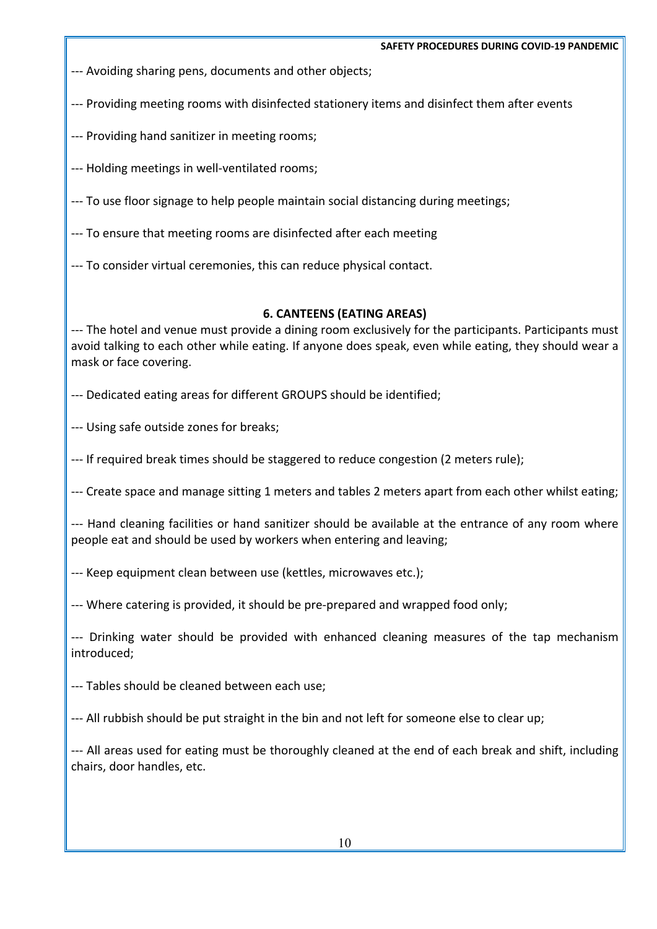--- Avoiding sharing pens, documents and other objects;

- --- Providing meeting rooms with disinfected stationery items and disinfect them after events
- --- Providing hand sanitizer in meeting rooms;
- --- Holding meetings in well-ventilated rooms;
- --- To use floor signage to help people maintain social distancing during meetings;
- --- To ensure that meeting rooms are disinfected after each meeting
- --- To consider virtual ceremonies, this can reduce physical contact.

# **6. CANTEENS (EATING AREAS)**

--- The hotel and venue must provide a dining room exclusively for the participants. Participants must avoid talking to each other while eating. If anyone does speak, even while eating, they should wear a mask or face covering.

--- Dedicated eating areas for different GROUPS should be identified;

--- Using safe outside zones for breaks;

--- If required break times should be staggered to reduce congestion (2 meters rule);

--- Create space and manage sitting 1 meters and tables 2 meters apart from each other whilst eating;

--- Hand cleaning facilities or hand sanitizer should be available at the entrance of any room where people eat and should be used by workers when entering and leaving;

- --- Keep equipment clean between use (kettles, microwaves etc.);
- --- Where catering is provided, it should be pre-prepared and wrapped food only;

--- Drinking water should be provided with enhanced cleaning measures of the tap mechanism introduced;

--- Tables should be cleaned between each use;

--- All rubbish should be put straight in the bin and not left for someone else to clear up;

--- All areas used for eating must be thoroughly cleaned at the end of each break and shift, including chairs, door handles, etc.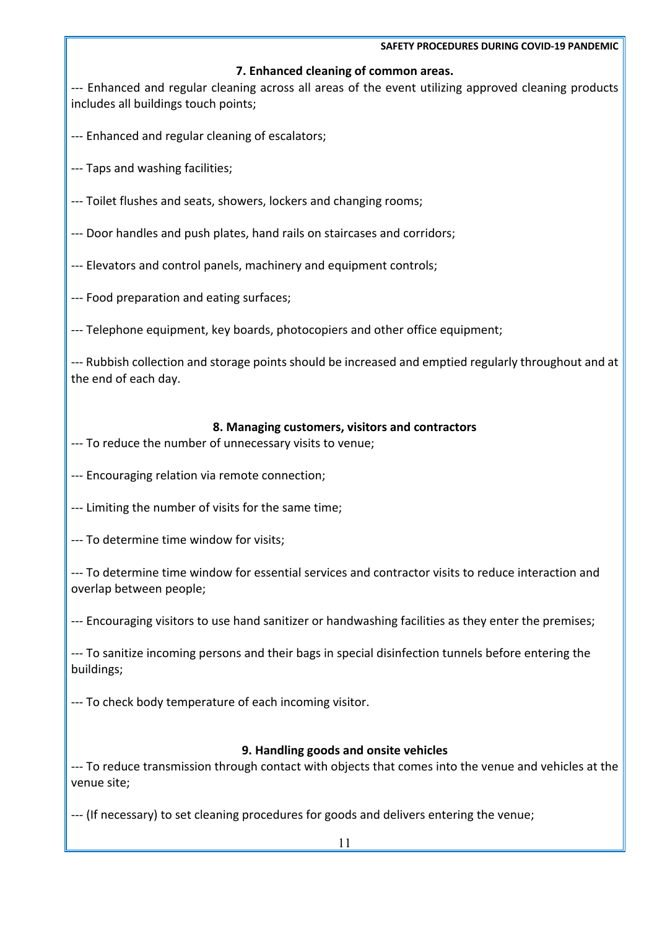## **7. Enhanced cleaning of common areas.**

--- Enhanced and regular cleaning across all areas of the event utilizing approved cleaning products includes all buildings touch points;

--- Enhanced and regular cleaning of escalators;

- --- Taps and washing facilities;
- --- Toilet flushes and seats, showers, lockers and changing rooms;

--- Door handles and push plates, hand rails on staircases and corridors;

--- Elevators and control panels, machinery and equipment controls;

--- Food preparation and eating surfaces;

--- Telephone equipment, key boards, photocopiers and other office equipment;

--- Rubbish collection and storage points should be increased and emptied regularly throughout and at the end of each day.

## **8. Managing customers, visitors and contractors**

--- To reduce the number of unnecessary visits to venue;

--- Encouraging relation via remote connection;

--- Limiting the number of visits for the same time;

--- To determine time window for visits;

--- To determine time window for essential services and contractor visits to reduce interaction and overlap between people;

--- Encouraging visitors to use hand sanitizer or handwashing facilities as they enter the premises;

--- To sanitize incoming persons and their bags in special disinfection tunnels before entering the buildings;

--- To check body temperature of each incoming visitor.

# **9. Handling goods and onsite vehicles**

--- To reduce transmission through contact with objects that comes into the venue and vehicles at the venue site;

--- (If necessary) to set cleaning procedures for goods and delivers entering the venue;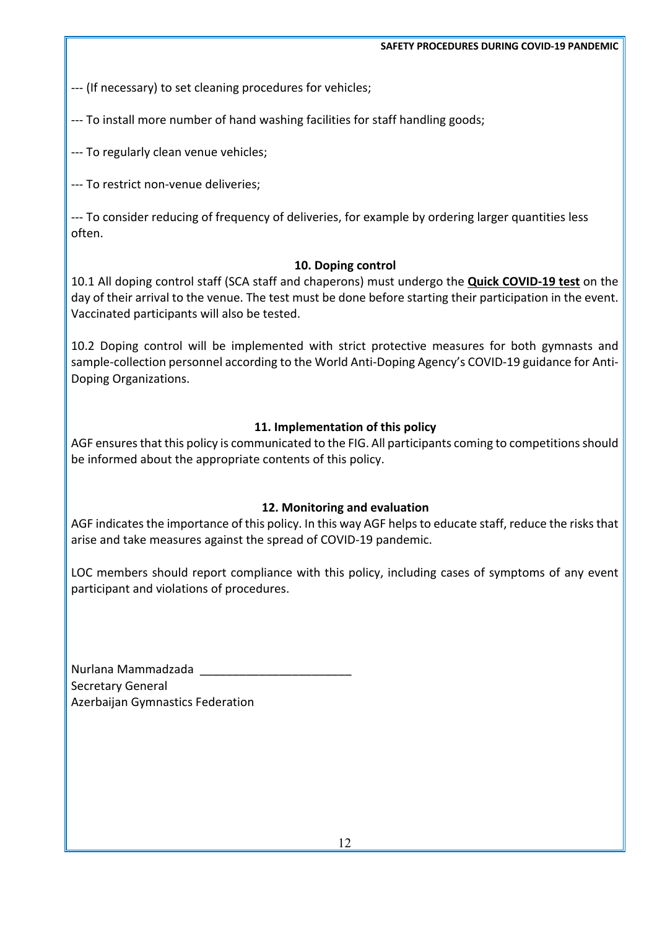--- (If necessary) to set cleaning procedures for vehicles;

--- To install more number of hand washing facilities for staff handling goods;

--- To regularly clean venue vehicles;

--- To restrict non-venue deliveries;

--- To consider reducing of frequency of deliveries, for example by ordering larger quantities less often.

## **10. Doping control**

10.1 All doping control staff (SCA staff and chaperons) must undergo the **Quick COVID-19 test** on the day of their arrival to the venue. The test must be done before starting their participation in the event. Vaccinated participants will also be tested.

10.2 Doping control will be implemented with strict protective measures for both gymnasts and sample-collection personnel according to the World Anti-Doping Agency's COVID-19 guidance for Anti-Doping Organizations.

## **11. Implementation of this policy**

AGF ensures that this policy is communicated to the FIG. All participants coming to competitions should be informed about the appropriate contents of this policy.

## **12. Monitoring and evaluation**

AGF indicates the importance of this policy. In this way AGF helps to educate staff, reduce the risks that arise and take measures against the spread of COVID-19 pandemic.

LOC members should report compliance with this policy, including cases of symptoms of any event participant and violations of procedures.

Nurlana Mammadzada \_\_\_\_\_\_\_\_\_\_\_\_\_\_\_\_\_\_\_\_\_\_\_ Secretary General Azerbaijan Gymnastics Federation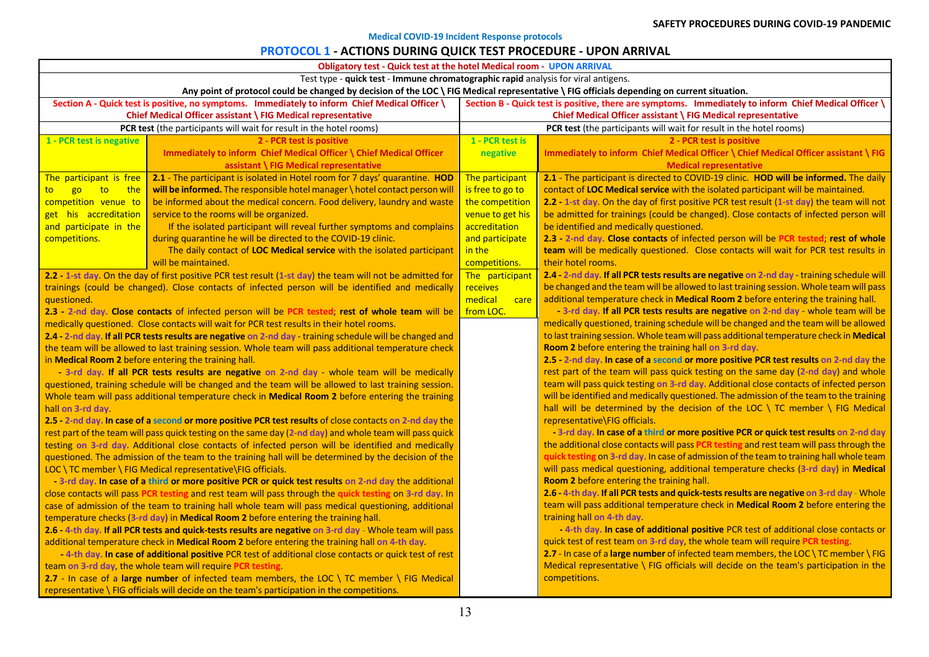#### **Medical COVID-19 Incident Response protocols**

## **PROTOCOL 1 - ACTIONS DURING QUICK TEST PROCEDURE - UPON ARRIVAL**

| <b>Obligatory test - Quick test at the hotel Medical room - UPON ARRIVAL</b>                                                                                                              |                                                                                                                                                                     |                                                                     |                                                                                                                                                                                 |  |  |
|-------------------------------------------------------------------------------------------------------------------------------------------------------------------------------------------|---------------------------------------------------------------------------------------------------------------------------------------------------------------------|---------------------------------------------------------------------|---------------------------------------------------------------------------------------------------------------------------------------------------------------------------------|--|--|
| Test type - quick test - Immune chromatographic rapid analysis for viral antigens.                                                                                                        |                                                                                                                                                                     |                                                                     |                                                                                                                                                                                 |  |  |
|                                                                                                                                                                                           | Any point of protocol could be changed by decision of the LOC \ FIG Medical representative \ FIG officials depending on current situation.                          |                                                                     |                                                                                                                                                                                 |  |  |
|                                                                                                                                                                                           | Section A - Quick test is positive, no symptoms. Immediately to inform Chief Medical Officer \                                                                      |                                                                     | Section B - Quick test is positive, there are symptoms. Immediately to inform Chief Medical Officer \                                                                           |  |  |
|                                                                                                                                                                                           | Chief Medical Officer assistant \ FIG Medical representative                                                                                                        | Chief Medical Officer assistant \ FIG Medical representative        |                                                                                                                                                                                 |  |  |
|                                                                                                                                                                                           | PCR test (the participants will wait for result in the hotel rooms)                                                                                                 | PCR test (the participants will wait for result in the hotel rooms) |                                                                                                                                                                                 |  |  |
| 1 - PCR test is negative                                                                                                                                                                  | 2 - PCR test is positive                                                                                                                                            | 1 - PCR test is                                                     | 2 - PCR test is positive                                                                                                                                                        |  |  |
|                                                                                                                                                                                           | Immediately to inform Chief Medical Officer \ Chief Medical Officer                                                                                                 | negative                                                            | Immediately to inform Chief Medical Officer \ Chief Medical Officer assistant \ FIG                                                                                             |  |  |
|                                                                                                                                                                                           | assistant \ FIG Medical representative                                                                                                                              |                                                                     | <b>Medical representative</b>                                                                                                                                                   |  |  |
| The participant is free                                                                                                                                                                   | 2.1 - The participant is isolated in Hotel room for 7 days' quarantine. HOD                                                                                         | The participant                                                     | 2.1 - The participant is directed to COVID-19 clinic. HOD will be informed. The daily                                                                                           |  |  |
| go<br>to<br>the<br>to                                                                                                                                                                     | will be informed. The responsible hotel manager \ hotel contact person will                                                                                         | is free to go to                                                    | contact of LOC Medical service with the isolated participant will be maintained.                                                                                                |  |  |
| competition venue to                                                                                                                                                                      | be informed about the medical concern. Food delivery, laundry and waste                                                                                             | the competition                                                     | 2.2 - 1-st day. On the day of first positive PCR test result (1-st day) the team will not                                                                                       |  |  |
| get his accreditation                                                                                                                                                                     | service to the rooms will be organized.                                                                                                                             | venue to get his                                                    | be admitted for trainings (could be changed). Close contacts of infected person will                                                                                            |  |  |
| and participate in the                                                                                                                                                                    | If the isolated participant will reveal further symptoms and complains                                                                                              | accreditation                                                       | be identified and medically questioned.                                                                                                                                         |  |  |
| competitions.                                                                                                                                                                             | during quarantine he will be directed to the COVID-19 clinic.                                                                                                       | and participate                                                     | 2.3 - 2-nd day. Close contacts of infected person will be PCR tested; rest of whole                                                                                             |  |  |
|                                                                                                                                                                                           | The daily contact of LOC Medical service with the isolated participant                                                                                              | in the                                                              | team will be medically questioned. Close contacts will wait for PCR test results in                                                                                             |  |  |
|                                                                                                                                                                                           | will be maintained.                                                                                                                                                 | competitions.                                                       | their hotel rooms.                                                                                                                                                              |  |  |
|                                                                                                                                                                                           | 2.2 - 1-st day. On the day of first positive PCR test result (1-st day) the team will not be admitted for                                                           | The participant                                                     | 2.4 - 2-nd day. If all PCR tests results are negative on 2-nd day - training schedule will                                                                                      |  |  |
|                                                                                                                                                                                           | trainings (could be changed). Close contacts of infected person will be identified and medically                                                                    | receives                                                            | be changed and the team will be allowed to last training session. Whole team will pass                                                                                          |  |  |
| questioned.                                                                                                                                                                               |                                                                                                                                                                     | medical<br>care                                                     | additional temperature check in Medical Room 2 before entering the training hall.                                                                                               |  |  |
|                                                                                                                                                                                           | 2.3 - 2-nd day. Close contacts of infected person will be PCR tested; rest of whole team will be                                                                    | from LOC.                                                           | - 3-rd day. If all PCR tests results are negative on 2-nd day - whole team will be                                                                                              |  |  |
|                                                                                                                                                                                           | medically questioned. Close contacts will wait for PCR test results in their hotel rooms.                                                                           |                                                                     | medically questioned, training schedule will be changed and the team will be allowed                                                                                            |  |  |
|                                                                                                                                                                                           | 2.4 - 2-nd day. If all PCR tests results are negative on 2-nd day - training schedule will be changed and                                                           |                                                                     | to last training session. Whole team will pass additional temperature check in Medical                                                                                          |  |  |
|                                                                                                                                                                                           | the team will be allowed to last training session. Whole team will pass additional temperature check                                                                |                                                                     | Room 2 before entering the training hall on 3-rd day.                                                                                                                           |  |  |
|                                                                                                                                                                                           | in Medical Room 2 before entering the training hall.                                                                                                                |                                                                     | 2.5 - 2-nd day. In case of a second or more positive PCR test results on 2-nd day the                                                                                           |  |  |
|                                                                                                                                                                                           | - 3-rd day. If all PCR tests results are negative on 2-nd day - whole team will be medically                                                                        |                                                                     | rest part of the team will pass quick testing on the same day (2-nd day) and whole                                                                                              |  |  |
|                                                                                                                                                                                           | questioned, training schedule will be changed and the team will be allowed to last training session.                                                                |                                                                     | team will pass quick testing on 3-rd day. Additional close contacts of infected person                                                                                          |  |  |
|                                                                                                                                                                                           | Whole team will pass additional temperature check in Medical Room 2 before entering the training                                                                    |                                                                     | will be identified and medically questioned. The admission of the team to the training                                                                                          |  |  |
| hall on 3-rd day                                                                                                                                                                          |                                                                                                                                                                     |                                                                     | hall will be determined by the decision of the LOC \ TC member \ FIG Medical                                                                                                    |  |  |
|                                                                                                                                                                                           | 2.5 - 2-nd day. In case of a second or more positive PCR test results of close contacts on 2-nd day the                                                             |                                                                     | representative\FIG officials.                                                                                                                                                   |  |  |
|                                                                                                                                                                                           | rest part of the team will pass quick testing on the same day (2-nd day) and whole team will pass quick                                                             |                                                                     | -3-rd day. In case of a third or more positive PCR or quick test results on 2-nd day<br>the additional close contacts will pass PCR testing and rest team will pass through the |  |  |
|                                                                                                                                                                                           | testing on 3-rd day. Additional close contacts of infected person will be identified and medically                                                                  |                                                                     | quick testing on 3-rd day. In case of admission of the team to training hall whole team                                                                                         |  |  |
|                                                                                                                                                                                           | questioned. The admission of the team to the training hall will be determined by the decision of the<br>LOC \ TC member \ FIG Medical representative\FIG officials. |                                                                     | will pass medical questioning, additional temperature checks (3-rd day) in Medical                                                                                              |  |  |
|                                                                                                                                                                                           |                                                                                                                                                                     |                                                                     | Room 2 before entering the training hall.                                                                                                                                       |  |  |
| - 3-rd day. In case of a third or more positive PCR or quick test results on 2-nd day the additional                                                                                      |                                                                                                                                                                     |                                                                     | 2.6 - 4-th day. If all PCR tests and quick-tests results are negative on 3-rd day - Whole                                                                                       |  |  |
| close contacts will pass PCR testing and rest team will pass through the quick testing on 3-rd day. In                                                                                    |                                                                                                                                                                     |                                                                     | team will pass additional temperature check in Medical Room 2 before entering the                                                                                               |  |  |
| case of admission of the team to training hall whole team will pass medical questioning, additional<br>temperature checks (3-rd day) in Medical Room 2 before entering the training hall. |                                                                                                                                                                     |                                                                     | training hall on 4-th day                                                                                                                                                       |  |  |
| 2.6 - 4-th day. If all PCR tests and quick-tests results are negative on 3-rd day - Whole team will pass                                                                                  |                                                                                                                                                                     |                                                                     | - 4-th day. In case of additional positive PCR test of additional close contacts or                                                                                             |  |  |
| additional temperature check in Medical Room 2 before entering the training hall on 4-th day.                                                                                             |                                                                                                                                                                     |                                                                     | quick test of rest team on 3-rd day, the whole team will require PCR testing.                                                                                                   |  |  |
| -4-th day. In case of additional positive PCR test of additional close contacts or quick test of rest                                                                                     |                                                                                                                                                                     |                                                                     | 2.7 - In case of a large number of infected team members, the LOC \ TC member \ FIG                                                                                             |  |  |
|                                                                                                                                                                                           | team on 3-rd day, the whole team will require PCR testing.                                                                                                          |                                                                     | Medical representative \ FIG officials will decide on the team's participation in the                                                                                           |  |  |
| 2.7 - In case of a large number of infected team members, the LOC \ TC member \ FIG Medical                                                                                               |                                                                                                                                                                     |                                                                     | competitions.                                                                                                                                                                   |  |  |
| representative \ FIG officials will decide on the team's participation in the competitions.                                                                                               |                                                                                                                                                                     |                                                                     |                                                                                                                                                                                 |  |  |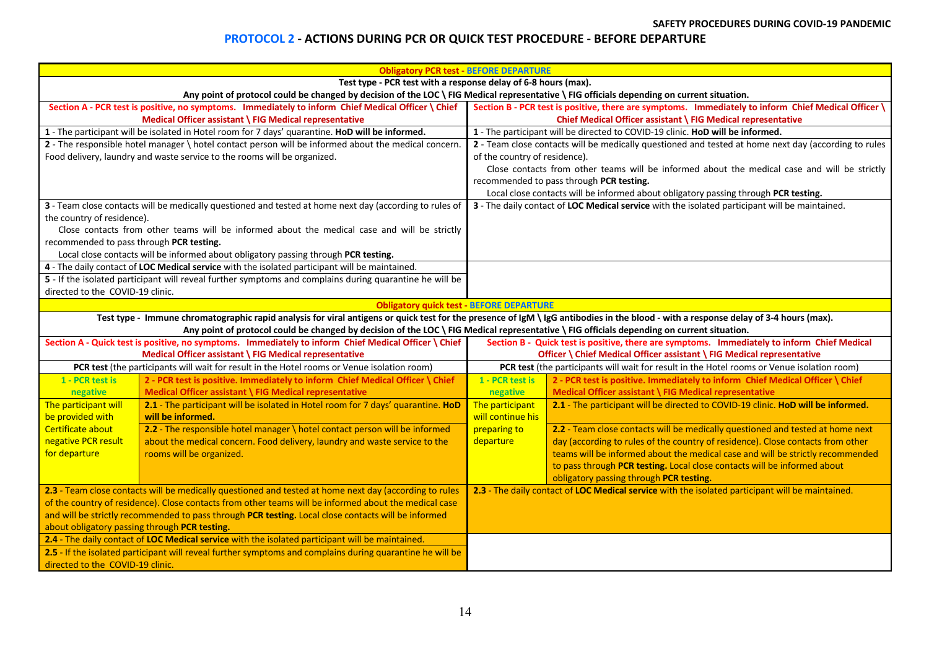#### **PROTOCOL 2 - ACTIONS DURING PCR OR QUICK TEST PROCEDURE - BEFORE DEPARTURE**

|                                                                                                                                                                                                                                                                                                                                                                                                                                                                             | <b>Obligatory PCR test - BEFORE DEPARTURE</b>                                                                                                                                        |                                                                                                                                                                       |                                                                                                                                             |  |  |  |  |
|-----------------------------------------------------------------------------------------------------------------------------------------------------------------------------------------------------------------------------------------------------------------------------------------------------------------------------------------------------------------------------------------------------------------------------------------------------------------------------|--------------------------------------------------------------------------------------------------------------------------------------------------------------------------------------|-----------------------------------------------------------------------------------------------------------------------------------------------------------------------|---------------------------------------------------------------------------------------------------------------------------------------------|--|--|--|--|
| Test type - PCR test with a response delay of 6-8 hours (max).                                                                                                                                                                                                                                                                                                                                                                                                              |                                                                                                                                                                                      |                                                                                                                                                                       |                                                                                                                                             |  |  |  |  |
|                                                                                                                                                                                                                                                                                                                                                                                                                                                                             | Any point of protocol could be changed by decision of the LOC \ FIG Medical representative \ FIG officials depending on current situation.                                           |                                                                                                                                                                       |                                                                                                                                             |  |  |  |  |
| Section A - PCR test is positive, no symptoms. Immediately to inform Chief Medical Officer \ Chief                                                                                                                                                                                                                                                                                                                                                                          |                                                                                                                                                                                      | Section B - PCR test is positive, there are symptoms. Immediately to inform Chief Medical Officer \                                                                   |                                                                                                                                             |  |  |  |  |
|                                                                                                                                                                                                                                                                                                                                                                                                                                                                             | Medical Officer assistant \ FIG Medical representative                                                                                                                               | Chief Medical Officer assistant \ FIG Medical representative                                                                                                          |                                                                                                                                             |  |  |  |  |
|                                                                                                                                                                                                                                                                                                                                                                                                                                                                             | 1 - The participant will be isolated in Hotel room for 7 days' quarantine. HoD will be informed.                                                                                     | 1 - The participant will be directed to COVID-19 clinic. HoD will be informed.                                                                                        |                                                                                                                                             |  |  |  |  |
|                                                                                                                                                                                                                                                                                                                                                                                                                                                                             | 2 - The responsible hotel manager \ hotel contact person will be informed about the medical concern.                                                                                 | 2 - Team close contacts will be medically questioned and tested at home next day (according to rules                                                                  |                                                                                                                                             |  |  |  |  |
| Food delivery, laundry and waste service to the rooms will be organized.                                                                                                                                                                                                                                                                                                                                                                                                    |                                                                                                                                                                                      | of the country of residence).                                                                                                                                         |                                                                                                                                             |  |  |  |  |
|                                                                                                                                                                                                                                                                                                                                                                                                                                                                             |                                                                                                                                                                                      | Close contacts from other teams will be informed about the medical case and will be strictly                                                                          |                                                                                                                                             |  |  |  |  |
|                                                                                                                                                                                                                                                                                                                                                                                                                                                                             |                                                                                                                                                                                      | recommended to pass through PCR testing.                                                                                                                              |                                                                                                                                             |  |  |  |  |
|                                                                                                                                                                                                                                                                                                                                                                                                                                                                             |                                                                                                                                                                                      |                                                                                                                                                                       | Local close contacts will be informed about obligatory passing through PCR testing.                                                         |  |  |  |  |
|                                                                                                                                                                                                                                                                                                                                                                                                                                                                             | 3 - Team close contacts will be medically questioned and tested at home next day (according to rules of                                                                              | 3 - The daily contact of LOC Medical service with the isolated participant will be maintained.                                                                        |                                                                                                                                             |  |  |  |  |
| the country of residence).                                                                                                                                                                                                                                                                                                                                                                                                                                                  |                                                                                                                                                                                      |                                                                                                                                                                       |                                                                                                                                             |  |  |  |  |
|                                                                                                                                                                                                                                                                                                                                                                                                                                                                             | Close contacts from other teams will be informed about the medical case and will be strictly                                                                                         |                                                                                                                                                                       |                                                                                                                                             |  |  |  |  |
| recommended to pass through PCR testing.                                                                                                                                                                                                                                                                                                                                                                                                                                    |                                                                                                                                                                                      |                                                                                                                                                                       |                                                                                                                                             |  |  |  |  |
|                                                                                                                                                                                                                                                                                                                                                                                                                                                                             | Local close contacts will be informed about obligatory passing through PCR testing.                                                                                                  |                                                                                                                                                                       |                                                                                                                                             |  |  |  |  |
|                                                                                                                                                                                                                                                                                                                                                                                                                                                                             | 4 - The daily contact of LOC Medical service with the isolated participant will be maintained.                                                                                       |                                                                                                                                                                       |                                                                                                                                             |  |  |  |  |
|                                                                                                                                                                                                                                                                                                                                                                                                                                                                             | 5 - If the isolated participant will reveal further symptoms and complains during quarantine he will be                                                                              |                                                                                                                                                                       |                                                                                                                                             |  |  |  |  |
| directed to the COVID-19 clinic.                                                                                                                                                                                                                                                                                                                                                                                                                                            |                                                                                                                                                                                      |                                                                                                                                                                       |                                                                                                                                             |  |  |  |  |
|                                                                                                                                                                                                                                                                                                                                                                                                                                                                             | <b>Obligatory quick test - BEFORE DEPARTURE</b>                                                                                                                                      |                                                                                                                                                                       |                                                                                                                                             |  |  |  |  |
|                                                                                                                                                                                                                                                                                                                                                                                                                                                                             | Test type - Immune chromatographic rapid analysis for viral antigens or quick test for the presence of IgM \ IgG antibodies in the blood - with a response delay of 3-4 hours (max). |                                                                                                                                                                       |                                                                                                                                             |  |  |  |  |
| Any point of protocol could be changed by decision of the LOC \ FIG Medical representative \ FIG officials depending on current situation.                                                                                                                                                                                                                                                                                                                                  |                                                                                                                                                                                      |                                                                                                                                                                       |                                                                                                                                             |  |  |  |  |
| Section A - Quick test is positive, no symptoms. Immediately to inform Chief Medical Officer \ Chief                                                                                                                                                                                                                                                                                                                                                                        |                                                                                                                                                                                      | Section B - Quick test is positive, there are symptoms. Immediately to inform Chief Medical<br>Officer \ Chief Medical Officer assistant \ FIG Medical representative |                                                                                                                                             |  |  |  |  |
| Medical Officer assistant \ FIG Medical representative<br>PCR test (the participants will wait for result in the Hotel rooms or Venue isolation room)                                                                                                                                                                                                                                                                                                                       |                                                                                                                                                                                      | PCR test (the participants will wait for result in the Hotel rooms or Venue isolation room)                                                                           |                                                                                                                                             |  |  |  |  |
| 1 - PCR test is                                                                                                                                                                                                                                                                                                                                                                                                                                                             | 2 - PCR test is positive. Immediately to inform Chief Medical Officer \ Chief                                                                                                        | 2 - PCR test is positive. Immediately to inform Chief Medical Officer \ Chief<br>1 - PCR test is                                                                      |                                                                                                                                             |  |  |  |  |
| negative                                                                                                                                                                                                                                                                                                                                                                                                                                                                    | Medical Officer assistant \ FIG Medical representative                                                                                                                               | negative                                                                                                                                                              | Medical Officer assistant \ FIG Medical representative                                                                                      |  |  |  |  |
| The participant will                                                                                                                                                                                                                                                                                                                                                                                                                                                        | 2.1 - The participant will be isolated in Hotel room for 7 days' quarantine. HoD                                                                                                     | The participant                                                                                                                                                       | 2.1 - The participant will be directed to COVID-19 clinic. HoD will be informed.                                                            |  |  |  |  |
| be provided with                                                                                                                                                                                                                                                                                                                                                                                                                                                            | will be informed.                                                                                                                                                                    | will continue his                                                                                                                                                     |                                                                                                                                             |  |  |  |  |
| Certificate about                                                                                                                                                                                                                                                                                                                                                                                                                                                           | 2.2 - The responsible hotel manager \ hotel contact person will be informed                                                                                                          | preparing to                                                                                                                                                          | 2.2 - Team close contacts will be medically questioned and tested at home next                                                              |  |  |  |  |
| negative PCR result                                                                                                                                                                                                                                                                                                                                                                                                                                                         | about the medical concern. Food delivery, laundry and waste service to the                                                                                                           | departure                                                                                                                                                             | day (according to rules of the country of residence). Close contacts from other                                                             |  |  |  |  |
| for departure                                                                                                                                                                                                                                                                                                                                                                                                                                                               | rooms will be organized.                                                                                                                                                             |                                                                                                                                                                       | teams will be informed about the medical case and will be strictly recommended                                                              |  |  |  |  |
|                                                                                                                                                                                                                                                                                                                                                                                                                                                                             |                                                                                                                                                                                      |                                                                                                                                                                       | to pass through PCR testing. Local close contacts will be informed about                                                                    |  |  |  |  |
|                                                                                                                                                                                                                                                                                                                                                                                                                                                                             |                                                                                                                                                                                      |                                                                                                                                                                       |                                                                                                                                             |  |  |  |  |
|                                                                                                                                                                                                                                                                                                                                                                                                                                                                             |                                                                                                                                                                                      |                                                                                                                                                                       |                                                                                                                                             |  |  |  |  |
|                                                                                                                                                                                                                                                                                                                                                                                                                                                                             |                                                                                                                                                                                      |                                                                                                                                                                       |                                                                                                                                             |  |  |  |  |
|                                                                                                                                                                                                                                                                                                                                                                                                                                                                             |                                                                                                                                                                                      |                                                                                                                                                                       |                                                                                                                                             |  |  |  |  |
|                                                                                                                                                                                                                                                                                                                                                                                                                                                                             |                                                                                                                                                                                      |                                                                                                                                                                       |                                                                                                                                             |  |  |  |  |
|                                                                                                                                                                                                                                                                                                                                                                                                                                                                             |                                                                                                                                                                                      |                                                                                                                                                                       |                                                                                                                                             |  |  |  |  |
| 2.5 - If the isolated participant will reveal further symptoms and complains during quarantine he will be                                                                                                                                                                                                                                                                                                                                                                   |                                                                                                                                                                                      |                                                                                                                                                                       |                                                                                                                                             |  |  |  |  |
| directed to the COVID-19 clinic.                                                                                                                                                                                                                                                                                                                                                                                                                                            |                                                                                                                                                                                      |                                                                                                                                                                       |                                                                                                                                             |  |  |  |  |
| 2.3 - Team close contacts will be medically questioned and tested at home next day (according to rules<br>of the country of residence). Close contacts from other teams will be informed about the medical case<br>and will be strictly recommended to pass through PCR testing. Local close contacts will be informed<br>about obligatory passing through PCR testing.<br>2.4 - The daily contact of LOC Medical service with the isolated participant will be maintained. |                                                                                                                                                                                      |                                                                                                                                                                       | obligatory passing through PCR testing.<br>2.3 - The daily contact of LOC Medical service with the isolated participant will be maintained. |  |  |  |  |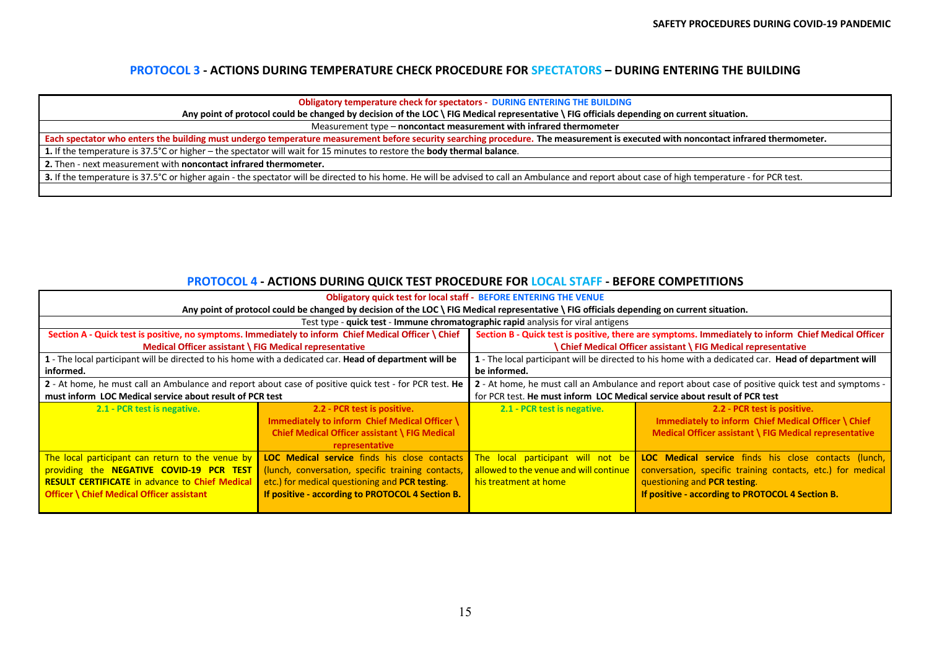#### **PROTOCOL 3 - ACTIONS DURING TEMPERATURE CHECK PROCEDURE FOR SPECTATORS – DURING ENTERING THE BUILDING**

**Obligatory temperature check for spectators - DURING ENTERING THE BUILDING**

**Any point of protocol could be changed by decision of the LOC \ FIG Medical representative \ FIG officials depending on current situation.**

Measurement type – **noncontact measurement with infrared thermometer**

**Each spectator who enters the building must undergo temperature measurement before security searching procedure. The measurement is executed with noncontact infrared thermometer.**

**1.** If the temperature is 37.5°C or higher – the spectator will wait for 15 minutes to restore the **body thermal balance**.

**2.** Then - next measurement with **noncontact infrared thermometer.** 

3. If the temperature is 37.5°C or higher again - the spectator will be directed to his home. He will be advised to call an Ambulance and report about case of high temperature - for PCR test.

#### **PROTOCOL 4 - ACTIONS DURING QUICK TEST PROCEDURE FOR LOCAL STAFF - BEFORE COMPETITIONS**

| <b>Obligatory quick test for local staff - BEFORE ENTERING THE VENUE</b>                                                                                                                                  |                                                                                                                                                                                                         |                                                                                                      |                                                                                                                                                                                                         |  |  |
|-----------------------------------------------------------------------------------------------------------------------------------------------------------------------------------------------------------|---------------------------------------------------------------------------------------------------------------------------------------------------------------------------------------------------------|------------------------------------------------------------------------------------------------------|---------------------------------------------------------------------------------------------------------------------------------------------------------------------------------------------------------|--|--|
| Any point of protocol could be changed by decision of the LOC \ FIG Medical representative \ FIG officials depending on current situation.                                                                |                                                                                                                                                                                                         |                                                                                                      |                                                                                                                                                                                                         |  |  |
| Test type - quick test - Immune chromatographic rapid analysis for viral antigens                                                                                                                         |                                                                                                                                                                                                         |                                                                                                      |                                                                                                                                                                                                         |  |  |
| Section A - Quick test is positive, no symptoms. Immediately to inform Chief Medical Officer \ Chief                                                                                                      |                                                                                                                                                                                                         | Section B - Quick test is positive, there are symptoms. Immediately to inform Chief Medical Officer  |                                                                                                                                                                                                         |  |  |
| Medical Officer assistant \ FIG Medical representative                                                                                                                                                    |                                                                                                                                                                                                         | <b>Chief Medical Officer assistant \ FIG Medical representative</b>                                  |                                                                                                                                                                                                         |  |  |
| 1 - The local participant will be directed to his home with a dedicated car. Head of department will be                                                                                                   |                                                                                                                                                                                                         | 1 - The local participant will be directed to his home with a dedicated car. Head of department will |                                                                                                                                                                                                         |  |  |
| informed.                                                                                                                                                                                                 |                                                                                                                                                                                                         | be informed.                                                                                         |                                                                                                                                                                                                         |  |  |
| 2 - At home, he must call an Ambulance and report about case of positive quick test - for PCR test. He                                                                                                    |                                                                                                                                                                                                         | 2 - At home, he must call an Ambulance and report about case of positive quick test and symptoms -   |                                                                                                                                                                                                         |  |  |
| must inform LOC Medical service about result of PCR test                                                                                                                                                  |                                                                                                                                                                                                         | for PCR test. He must inform LOC Medical service about result of PCR test                            |                                                                                                                                                                                                         |  |  |
| 2.1 - PCR test is negative.                                                                                                                                                                               | 2.2 - PCR test is positive.<br>Immediately to inform Chief Medical Officer \<br>Chief Medical Officer assistant \ FIG Medical<br>representative                                                         | 2.1 - PCR test is negative.                                                                          | 2.2 - PCR test is positive.<br>Immediately to inform Chief Medical Officer \ Chief<br>Medical Officer assistant \ FIG Medical representative                                                            |  |  |
| The local participant can return to the venue by<br>providing the NEGATIVE COVID-19 PCR TEST<br><b>RESULT CERTIFICATE in advance to Chief Medical</b><br><b>Officer \ Chief Medical Officer assistant</b> | LOC Medical service finds his close contacts<br>(lunch, conversation, specific training contacts,<br>etc.) for medical questioning and PCR testing.<br>If positive - according to PROTOCOL 4 Section B. | The local participant will not be<br>allowed to the venue and will continue<br>his treatment at home | LOC Medical service finds his close contacts (lunch,<br>conversation, specific training contacts, etc.) for medical<br>questioning and PCR testing.<br>If positive - according to PROTOCOL 4 Section B. |  |  |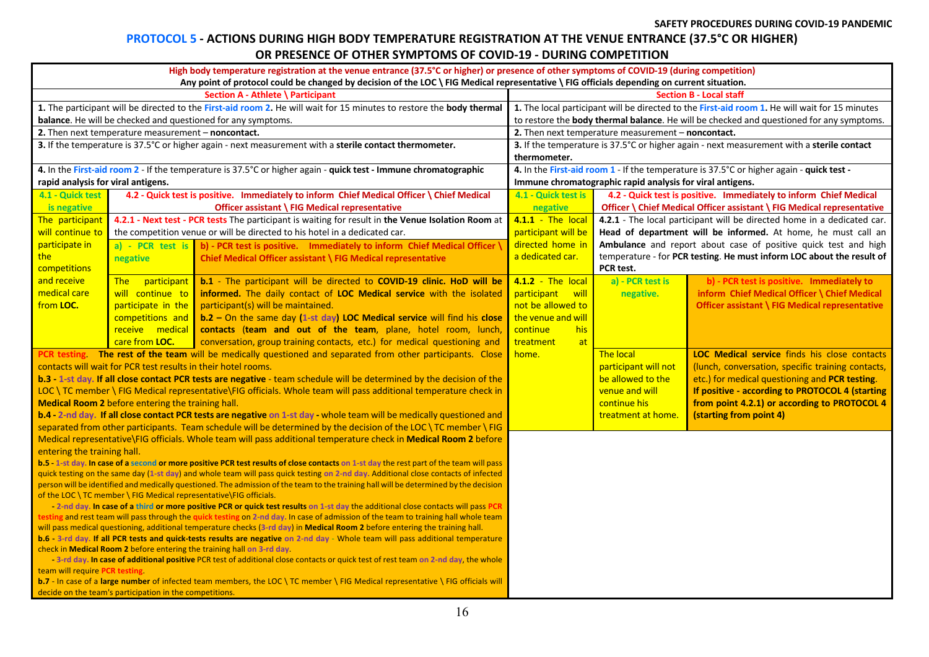#### **PROTOCOL 5 - ACTIONS DURING HIGH BODY TEMPERATURE REGISTRATION AT THE VENUE ENTRANCE (37.5°C OR HIGHER) OR PRESENCE OF OTHER SYMPTOMS OF COVID-19 - DURING COMPETITION**

| High body temperature registration at the venue entrance (37.5°C or higher) or presence of other symptoms of COVID-19 (during competition)<br>Any point of protocol could be changed by decision of the LOC \ FIG Medical representative \ FIG officials depending on current situation. |                                                                                                                                       |                                                                                                                                         |  |                                                                                                |               |                                                    |                                                                                                   |
|------------------------------------------------------------------------------------------------------------------------------------------------------------------------------------------------------------------------------------------------------------------------------------------|---------------------------------------------------------------------------------------------------------------------------------------|-----------------------------------------------------------------------------------------------------------------------------------------|--|------------------------------------------------------------------------------------------------|---------------|----------------------------------------------------|---------------------------------------------------------------------------------------------------|
| Section A - Athlete \ Participant                                                                                                                                                                                                                                                        |                                                                                                                                       |                                                                                                                                         |  | <b>Section B - Local staff</b>                                                                 |               |                                                    |                                                                                                   |
|                                                                                                                                                                                                                                                                                          |                                                                                                                                       | 1. The participant will be directed to the First-aid room 2. He will wait for 15 minutes to restore the body thermal                    |  | 1. The local participant will be directed to the First-aid room 1. He will wait for 15 minutes |               |                                                    |                                                                                                   |
|                                                                                                                                                                                                                                                                                          |                                                                                                                                       | balance. He will be checked and questioned for any symptoms.                                                                            |  | to restore the body thermal balance. He will be checked and questioned for any symptoms.       |               |                                                    |                                                                                                   |
|                                                                                                                                                                                                                                                                                          | 2. Then next temperature measurement – noncontact.                                                                                    |                                                                                                                                         |  |                                                                                                |               | 2. Then next temperature measurement – noncontact. |                                                                                                   |
|                                                                                                                                                                                                                                                                                          |                                                                                                                                       | 3. If the temperature is 37.5°C or higher again - next measurement with a sterile contact thermometer.                                  |  |                                                                                                |               |                                                    | 3. If the temperature is 37.5°C or higher again - next measurement with a sterile contact         |
|                                                                                                                                                                                                                                                                                          |                                                                                                                                       |                                                                                                                                         |  | thermometer.                                                                                   |               |                                                    |                                                                                                   |
|                                                                                                                                                                                                                                                                                          |                                                                                                                                       | 4. In the First-aid room 2 - If the temperature is 37.5°C or higher again - quick test - Immune chromatographic                         |  | 4. In the First-aid room 1 - If the temperature is 37.5°C or higher again - quick test -       |               |                                                    |                                                                                                   |
| rapid analysis for viral antigens.                                                                                                                                                                                                                                                       |                                                                                                                                       |                                                                                                                                         |  | Immune chromatographic rapid analysis for viral antigens.                                      |               |                                                    |                                                                                                   |
| 4.1 - Quick test                                                                                                                                                                                                                                                                         |                                                                                                                                       | 4.2 - Quick test is positive. Immediately to inform Chief Medical Officer \ Chief Medical                                               |  | 4.2 - Quick test is positive. Immediately to inform Chief Medical<br>4.1 - Quick test is       |               |                                                    |                                                                                                   |
| is negative                                                                                                                                                                                                                                                                              |                                                                                                                                       | Officer assistant \ FIG Medical representative                                                                                          |  | negative                                                                                       |               |                                                    | Officer \ Chief Medical Officer assistant \ FIG Medical representative                            |
| The participant                                                                                                                                                                                                                                                                          |                                                                                                                                       | 4.2.1 - Next test - PCR tests The participant is waiting for result in the Venue Isolation Room at                                      |  | 4.1.1 - The local                                                                              |               |                                                    | 4.2.1 - The local participant will be directed home in a dedicated car.                           |
| will continue to                                                                                                                                                                                                                                                                         |                                                                                                                                       | the competition venue or will be directed to his hotel in a dedicated car.                                                              |  | participant will be                                                                            |               |                                                    | Head of department will be informed. At home, he must call an                                     |
| participate in                                                                                                                                                                                                                                                                           | a) - PCR test is                                                                                                                      | b) - PCR test is positive. Immediately to inform Chief Medical Officer                                                                  |  | directed home in                                                                               |               |                                                    | Ambulance and report about case of positive quick test and high                                   |
| the                                                                                                                                                                                                                                                                                      | negative                                                                                                                              | Chief Medical Officer assistant \ FIG Medical representative                                                                            |  | a dedicated car.                                                                               |               |                                                    | temperature - for PCR testing. He must inform LOC about the result of                             |
| competitions                                                                                                                                                                                                                                                                             |                                                                                                                                       |                                                                                                                                         |  |                                                                                                |               | PCR test.                                          |                                                                                                   |
| and receive                                                                                                                                                                                                                                                                              | The<br>participant                                                                                                                    | b.1 - The participant will be directed to COVID-19 clinic. HoD will be                                                                  |  | 4.1.2 - The local                                                                              |               | a) - PCR test is                                   | b) - PCR test is positive. Immediately to                                                         |
| medical care                                                                                                                                                                                                                                                                             | will continue to                                                                                                                      | informed. The daily contact of LOC Medical service with the isolated                                                                    |  | participant                                                                                    | <u>a will</u> | negative.                                          | inform Chief Medical Officer \ Chief Medical                                                      |
| from LOC.                                                                                                                                                                                                                                                                                | participate in the                                                                                                                    | participant(s) will be maintained.                                                                                                      |  | not be allowed to                                                                              |               |                                                    | Officer assistant \ FIG Medical representative                                                    |
|                                                                                                                                                                                                                                                                                          | competitions and                                                                                                                      | b.2 - On the same day (1-st day) LOC Medical service will find his close                                                                |  | the venue and will                                                                             |               |                                                    |                                                                                                   |
|                                                                                                                                                                                                                                                                                          | receive medical                                                                                                                       | contacts (team and out of the team, plane, hotel room, lunch,                                                                           |  | continue                                                                                       | his           |                                                    |                                                                                                   |
|                                                                                                                                                                                                                                                                                          | care from LOC.                                                                                                                        | conversation, group training contacts, etc.) for medical questioning and                                                                |  | treatment                                                                                      | at            |                                                    |                                                                                                   |
|                                                                                                                                                                                                                                                                                          |                                                                                                                                       | PCR testing. The rest of the team will be medically questioned and separated from other participants. Close                             |  | home.                                                                                          |               | <b>The local</b>                                   | LOC Medical service finds his close contacts                                                      |
|                                                                                                                                                                                                                                                                                          | contacts will wait for PCR test results in their hotel rooms.                                                                         |                                                                                                                                         |  |                                                                                                |               | participant will not                               | (lunch, conversation, specific training contacts,                                                 |
|                                                                                                                                                                                                                                                                                          |                                                                                                                                       | b.3 - 1-st day. If all close contact PCR tests are negative - team schedule will be determined by the decision of the                   |  |                                                                                                |               | be allowed to the                                  | etc.) for medical questioning and PCR testing.<br>If positive - according to PROTOCOL 4 (starting |
|                                                                                                                                                                                                                                                                                          | Medical Room 2 before entering the training hall.                                                                                     | LOC \ TC member \ FIG Medical representative\FIG officials. Whole team will pass additional temperature check in                        |  |                                                                                                |               | venue and will                                     | from point 4.2.1) or according to PROTOCOL 4                                                      |
|                                                                                                                                                                                                                                                                                          |                                                                                                                                       | b.4 - 2-nd day. If all close contact PCR tests are negative on 1-st day - whole team will be medically questioned and                   |  |                                                                                                |               | continue his<br>treatment at home.                 | (starting from point 4)                                                                           |
|                                                                                                                                                                                                                                                                                          |                                                                                                                                       | separated from other participants. Team schedule will be determined by the decision of the LOC \ TC member \ FIG                        |  |                                                                                                |               |                                                    |                                                                                                   |
|                                                                                                                                                                                                                                                                                          |                                                                                                                                       | Medical representative\FIG officials. Whole team will pass additional temperature check in Medical Room 2 before                        |  |                                                                                                |               |                                                    |                                                                                                   |
| entering the training hall.                                                                                                                                                                                                                                                              |                                                                                                                                       |                                                                                                                                         |  |                                                                                                |               |                                                    |                                                                                                   |
|                                                                                                                                                                                                                                                                                          |                                                                                                                                       | b.5 - 1-st day. In case of a second or more positive PCR test results of close contacts on 1-st day the rest part of the team will pass |  |                                                                                                |               |                                                    |                                                                                                   |
|                                                                                                                                                                                                                                                                                          |                                                                                                                                       | quick testing on the same day (1-st day) and whole team will pass quick testing on 2-nd day. Additional close contacts of infected      |  |                                                                                                |               |                                                    |                                                                                                   |
|                                                                                                                                                                                                                                                                                          | person will be identified and medically questioned. The admission of the team to the training hall will be determined by the decision |                                                                                                                                         |  |                                                                                                |               |                                                    |                                                                                                   |
| of the LOC \ TC member \ FIG Medical representative\FIG officials.                                                                                                                                                                                                                       |                                                                                                                                       |                                                                                                                                         |  |                                                                                                |               |                                                    |                                                                                                   |
| -2-nd day. In case of a third or more positive PCR or quick test results on 1-st day the additional close contacts will pass PCR<br>testing and rest team will pass through the quick testing on 2-nd day. In case of admission of the team to training hall whole team                  |                                                                                                                                       |                                                                                                                                         |  |                                                                                                |               |                                                    |                                                                                                   |
| will pass medical questioning, additional temperature checks (3-rd day) in Medical Room 2 before entering the training hall.                                                                                                                                                             |                                                                                                                                       |                                                                                                                                         |  |                                                                                                |               |                                                    |                                                                                                   |
| b.6 - 3-rd day. If all PCR tests and quick-tests results are negative on 2-nd day - Whole team will pass additional temperature                                                                                                                                                          |                                                                                                                                       |                                                                                                                                         |  |                                                                                                |               |                                                    |                                                                                                   |
| check in Medical Room 2 before entering the training hall on 3-rd day.                                                                                                                                                                                                                   |                                                                                                                                       |                                                                                                                                         |  |                                                                                                |               |                                                    |                                                                                                   |
| - 3-rd day. In case of additional positive PCR test of additional close contacts or quick test of rest team on 2-nd day, the whole                                                                                                                                                       |                                                                                                                                       |                                                                                                                                         |  |                                                                                                |               |                                                    |                                                                                                   |
| team will require PCR testing                                                                                                                                                                                                                                                            |                                                                                                                                       |                                                                                                                                         |  |                                                                                                |               |                                                    |                                                                                                   |
| b.7 - In case of a large number of infected team members, the LOC \ TC member \ FIG Medical representative \ FIG officials will                                                                                                                                                          |                                                                                                                                       |                                                                                                                                         |  |                                                                                                |               |                                                    |                                                                                                   |
| decide on the team's participation in the competitions.                                                                                                                                                                                                                                  |                                                                                                                                       |                                                                                                                                         |  |                                                                                                |               |                                                    |                                                                                                   |